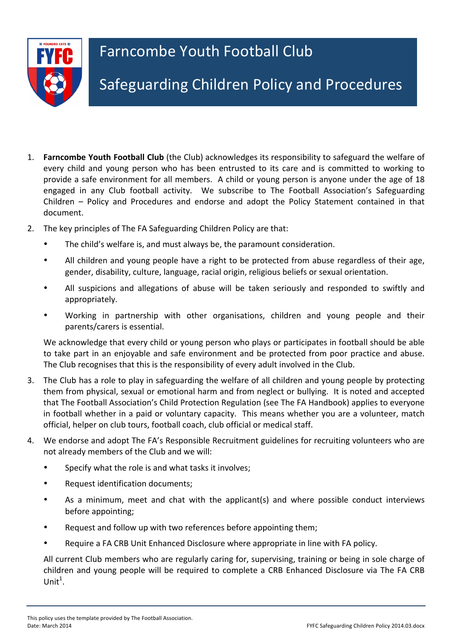

- 1. **Farncombe Youth Football Club** (the Club) acknowledges its responsibility to safeguard the welfare of every child and young person who has been entrusted to its care and is committed to working to provide a safe environment for all members. A child or young person is anyone under the age of 18 engaged in any Club football activity. We subscribe to The Football Association's Safeguarding Children - Policy and Procedures and endorse and adopt the Policy Statement contained in that document.
- 2. The key principles of The FA Safeguarding Children Policy are that:
	- The child's welfare is, and must always be, the paramount consideration.
	- All children and young people have a right to be protected from abuse regardless of their age, gender, disability, culture, language, racial origin, religious beliefs or sexual orientation.
	- All suspicions and allegations of abuse will be taken seriously and responded to swiftly and appropriately.
	- Working in partnership with other organisations, children and young people and their parents/carers is essential.

We acknowledge that every child or young person who plays or participates in football should be able to take part in an enjoyable and safe environment and be protected from poor practice and abuse. The Club recognises that this is the responsibility of every adult involved in the Club.

- 3. The Club has a role to play in safeguarding the welfare of all children and young people by protecting them from physical, sexual or emotional harm and from neglect or bullying. It is noted and accepted that The Football Association's Child Protection Regulation (see The FA Handbook) applies to everyone in football whether in a paid or voluntary capacity. This means whether you are a volunteer, match official, helper on club tours, football coach, club official or medical staff.
- 4. We endorse and adopt The FA's Responsible Recruitment guidelines for recruiting volunteers who are not already members of the Club and we will:
	- Specify what the role is and what tasks it involves;
	- Request identification documents;
	- As a minimum, meet and chat with the applicant(s) and where possible conduct interviews before appointing;
	- Request and follow up with two references before appointing them;
	- Require a FA CRB Unit Enhanced Disclosure where appropriate in line with FA policy.

All current Club members who are regularly caring for, supervising, training or being in sole charge of children and young people will be required to complete a CRB Enhanced Disclosure via The FA CRB Unit $^1$ .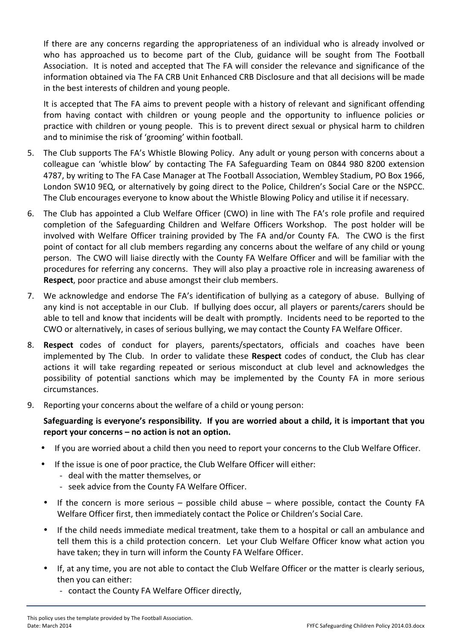If there are any concerns regarding the appropriateness of an individual who is already involved or who has approached us to become part of the Club, guidance will be sought from The Football Association. It is noted and accepted that The FA will consider the relevance and significance of the information obtained via The FA CRB Unit Enhanced CRB Disclosure and that all decisions will be made in the best interests of children and young people.

It is accepted that The FA aims to prevent people with a history of relevant and significant offending from having contact with children or young people and the opportunity to influence policies or practice with children or young people. This is to prevent direct sexual or physical harm to children and to minimise the risk of 'grooming' within football.

- 5. The Club supports The FA's Whistle Blowing Policy. Any adult or young person with concerns about a colleague can 'whistle blow' by contacting The FA Safeguarding Team on 0844 980 8200 extension 4787, by writing to The FA Case Manager at The Football Association, Wembley Stadium, PO Box 1966, London SW10 9EQ, or alternatively by going direct to the Police, Children's Social Care or the NSPCC. The Club encourages everyone to know about the Whistle Blowing Policy and utilise it if necessary.
- 6. The Club has appointed a Club Welfare Officer (CWO) in line with The FA's role profile and required completion of the Safeguarding Children and Welfare Officers Workshop. The post holder will be involved with Welfare Officer training provided by The FA and/or County FA. The CWO is the first point of contact for all club members regarding any concerns about the welfare of any child or young person. The CWO will liaise directly with the County FA Welfare Officer and will be familiar with the procedures for referring any concerns. They will also play a proactive role in increasing awareness of **Respect**, poor practice and abuse amongst their club members.
- 7. We acknowledge and endorse The FA's identification of bullying as a category of abuse. Bullying of any kind is not acceptable in our Club. If bullying does occur, all players or parents/carers should be able to tell and know that incidents will be dealt with promptly. Incidents need to be reported to the CWO or alternatively, in cases of serious bullying, we may contact the County FA Welfare Officer.
- 8. **Respect** codes of conduct for players, parents/spectators, officials and coaches have been implemented by The Club. In order to validate these Respect codes of conduct, the Club has clear actions it will take regarding repeated or serious misconduct at club level and acknowledges the possibility of potential sanctions which may be implemented by the County FA in more serious circumstances.
- 9. Reporting your concerns about the welfare of a child or young person:

## Safeguarding is everyone's responsibility. If you are worried about a child, it is important that you **report your concerns – no action is not an option.**

- If you are worried about a child then you need to report your concerns to the Club Welfare Officer.
- If the issue is one of poor practice, the Club Welfare Officer will either:
	- deal with the matter themselves, or
	- seek advice from the County FA Welfare Officer.
- If the concern is more serious  $-$  possible child abuse  $-$  where possible, contact the County FA Welfare Officer first, then immediately contact the Police or Children's Social Care.
- If the child needs immediate medical treatment, take them to a hospital or call an ambulance and tell them this is a child protection concern. Let your Club Welfare Officer know what action you have taken; they in turn will inform the County FA Welfare Officer.
- If, at any time, you are not able to contact the Club Welfare Officer or the matter is clearly serious, then you can either:
	- contact the County FA Welfare Officer directly,